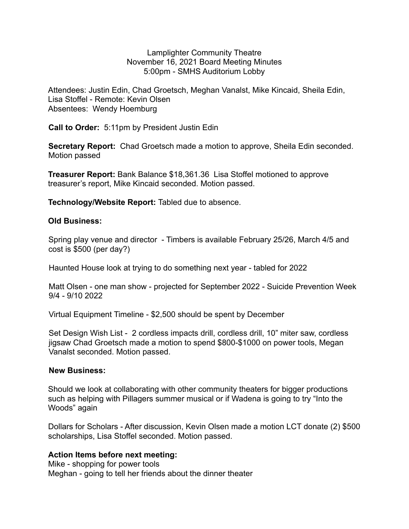Lamplighter Community Theatre November 16, 2021 Board Meeting Minutes 5:00pm - SMHS Auditorium Lobby

Attendees: Justin Edin, Chad Groetsch, Meghan Vanalst, Mike Kincaid, Sheila Edin, Lisa Stoffel - Remote: Kevin Olsen Absentees: Wendy Hoemburg

**Call to Order:** 5:11pm by President Justin Edin

**Secretary Report:** Chad Groetsch made a motion to approve, Sheila Edin seconded. Motion passed

**Treasurer Report:** Bank Balance \$18,361.36Lisa Stoffel motioned to approve treasurer's report, Mike Kincaid seconded. Motion passed.

**Technology/Website Report:** Tabled due to absence.

## **Old Business:**

Spring play venue and director - Timbers is available February 25/26, March 4/5 and cost is \$500 (per day?)

Haunted House look at trying to do something next year - tabled for 2022

Matt Olsen - one man show - projected for September 2022 - Suicide Prevention Week 9/4 - 9/10 2022

Virtual Equipment Timeline - \$2,500 should be spent by December

Set Design Wish List - 2 cordless impacts drill, cordless drill, 10" miter saw, cordless jigsaw Chad Groetsch made a motion to spend \$800-\$1000 on power tools, Megan Vanalst seconded. Motion passed.

## **New Business:**

Should we look at collaborating with other community theaters for bigger productions such as helping with Pillagers summer musical or if Wadena is going to try "Into the Woods" again

Dollars for Scholars - After discussion, Kevin Olsen made a motion LCT donate (2) \$500 scholarships, Lisa Stoffel seconded. Motion passed.

## **Action Items before next meeting:**

Mike - shopping for power tools Meghan - going to tell her friends about the dinner theater